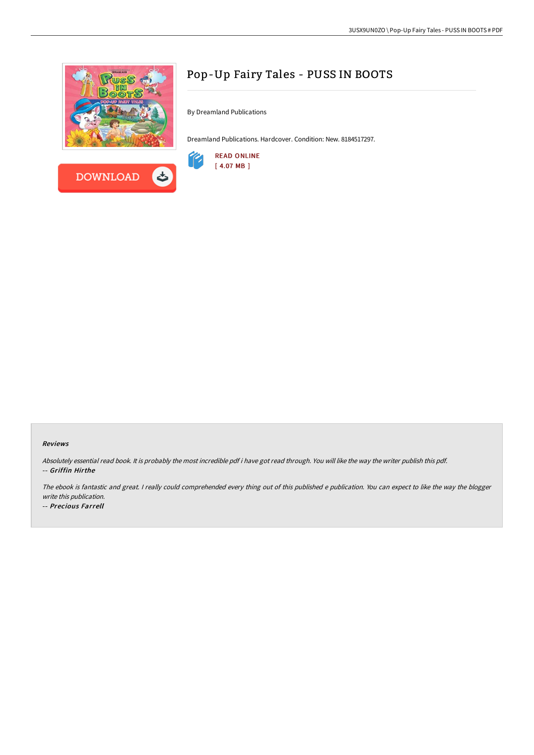



# Pop-Up Fairy Tales - PUSS IN BOOTS

By Dreamland Publications

Dreamland Publications. Hardcover. Condition: New. 8184517297.



#### Reviews

Absolutely essential read book. It is probably the most incredible pdf i have got read through. You will like the way the writer publish this pdf. -- Griffin Hirthe

The ebook is fantastic and great. <sup>I</sup> really could comprehended every thing out of this published <sup>e</sup> publication. You can expect to like the way the blogger write this publication.

-- Precious Farrell